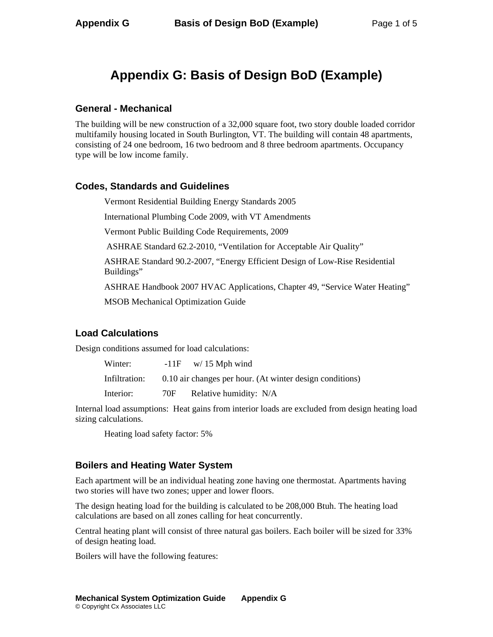# **Appendix G: Basis of Design BoD (Example)**

## **General - Mechanical**

The building will be new construction of a 32,000 square foot, two story double loaded corridor multifamily housing located in South Burlington, VT. The building will contain 48 apartments, consisting of 24 one bedroom, 16 two bedroom and 8 three bedroom apartments. Occupancy type will be low income family.

## **Codes, Standards and Guidelines**

Vermont Residential Building Energy Standards 2005

International Plumbing Code 2009, with VT Amendments

Vermont Public Building Code Requirements, 2009

ASHRAE Standard 62.2-2010, "Ventilation for Acceptable Air Quality"

ASHRAE Standard 90.2-2007, "Energy Efficient Design of Low-Rise Residential Buildings"

ASHRAE Handbook 2007 HVAC Applications, Chapter 49, "Service Water Heating"

MSOB Mechanical Optimization Guide

## **Load Calculations**

Design conditions assumed for load calculations:

| Winter:       |     | $-11F$ w/ 15 Mph wind                                    |
|---------------|-----|----------------------------------------------------------|
| Infiltration: |     | 0.10 air changes per hour. (At winter design conditions) |
| Interior:     | 70F | Relative humidity: N/A                                   |

Internal load assumptions: Heat gains from interior loads are excluded from design heating load sizing calculations.

Heating load safety factor: 5%

## **Boilers and Heating Water System**

Each apartment will be an individual heating zone having one thermostat. Apartments having two stories will have two zones; upper and lower floors.

The design heating load for the building is calculated to be 208,000 Btuh. The heating load calculations are based on all zones calling for heat concurrently.

Central heating plant will consist of three natural gas boilers. Each boiler will be sized for 33% of design heating load.

Boilers will have the following features: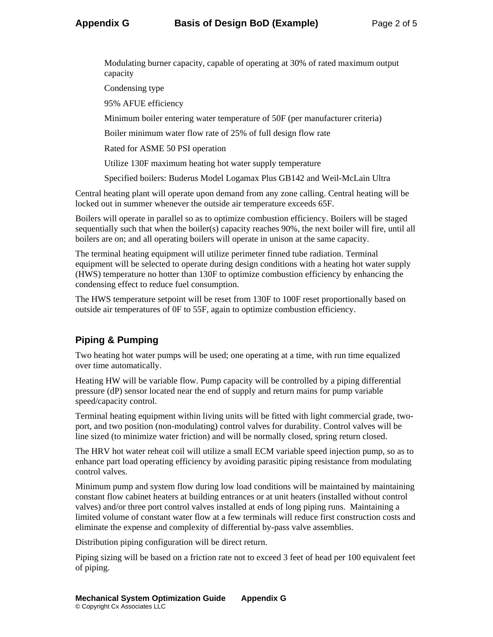Modulating burner capacity, capable of operating at 30% of rated maximum output capacity

Condensing type

95% AFUE efficiency

Minimum boiler entering water temperature of 50F (per manufacturer criteria)

Boiler minimum water flow rate of 25% of full design flow rate

Rated for ASME 50 PSI operation

Utilize 130F maximum heating hot water supply temperature

Specified boilers: Buderus Model Logamax Plus GB142 and Weil-McLain Ultra

Central heating plant will operate upon demand from any zone calling. Central heating will be locked out in summer whenever the outside air temperature exceeds 65F.

Boilers will operate in parallel so as to optimize combustion efficiency. Boilers will be staged sequentially such that when the boiler(s) capacity reaches 90%, the next boiler will fire, until all boilers are on; and all operating boilers will operate in unison at the same capacity.

The terminal heating equipment will utilize perimeter finned tube radiation. Terminal equipment will be selected to operate during design conditions with a heating hot water supply (HWS) temperature no hotter than 130F to optimize combustion efficiency by enhancing the condensing effect to reduce fuel consumption.

The HWS temperature setpoint will be reset from 130F to 100F reset proportionally based on outside air temperatures of 0F to 55F, again to optimize combustion efficiency.

## **Piping & Pumping**

Two heating hot water pumps will be used; one operating at a time, with run time equalized over time automatically.

Heating HW will be variable flow. Pump capacity will be controlled by a piping differential pressure (dP) sensor located near the end of supply and return mains for pump variable speed/capacity control.

Terminal heating equipment within living units will be fitted with light commercial grade, twoport, and two position (non-modulating) control valves for durability. Control valves will be line sized (to minimize water friction) and will be normally closed, spring return closed.

The HRV hot water reheat coil will utilize a small ECM variable speed injection pump, so as to enhance part load operating efficiency by avoiding parasitic piping resistance from modulating control valves.

Minimum pump and system flow during low load conditions will be maintained by maintaining constant flow cabinet heaters at building entrances or at unit heaters (installed without control valves) and/or three port control valves installed at ends of long piping runs. Maintaining a limited volume of constant water flow at a few terminals will reduce first construction costs and eliminate the expense and complexity of differential by-pass valve assemblies.

Distribution piping configuration will be direct return.

Piping sizing will be based on a friction rate not to exceed 3 feet of head per 100 equivalent feet of piping.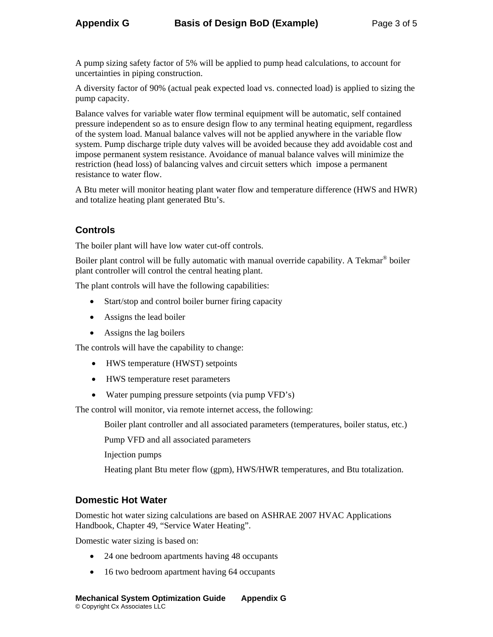A pump sizing safety factor of 5% will be applied to pump head calculations, to account for uncertainties in piping construction.

A diversity factor of 90% (actual peak expected load vs. connected load) is applied to sizing the pump capacity.

Balance valves for variable water flow terminal equipment will be automatic, self contained pressure independent so as to ensure design flow to any terminal heating equipment, regardless of the system load. Manual balance valves will not be applied anywhere in the variable flow system. Pump discharge triple duty valves will be avoided because they add avoidable cost and impose permanent system resistance. Avoidance of manual balance valves will minimize the restriction (head loss) of balancing valves and circuit setters which impose a permanent resistance to water flow.

A Btu meter will monitor heating plant water flow and temperature difference (HWS and HWR) and totalize heating plant generated Btu's.

## **Controls**

The boiler plant will have low water cut-off controls.

Boiler plant control will be fully automatic with manual override capability. A Tekmar<sup>®</sup> boiler plant controller will control the central heating plant.

The plant controls will have the following capabilities:

- Start/stop and control boiler burner firing capacity
- Assigns the lead boiler
- Assigns the lag boilers

The controls will have the capability to change:

- HWS temperature (HWST) setpoints
- HWS temperature reset parameters
- Water pumping pressure setpoints (via pump VFD's)

The control will monitor, via remote internet access, the following:

Boiler plant controller and all associated parameters (temperatures, boiler status, etc.)

Pump VFD and all associated parameters

Injection pumps

Heating plant Btu meter flow (gpm), HWS/HWR temperatures, and Btu totalization.

## **Domestic Hot Water**

Domestic hot water sizing calculations are based on ASHRAE 2007 HVAC Applications Handbook, Chapter 49, "Service Water Heating".

Domestic water sizing is based on:

- 24 one bedroom apartments having 48 occupants
- 16 two bedroom apartment having 64 occupants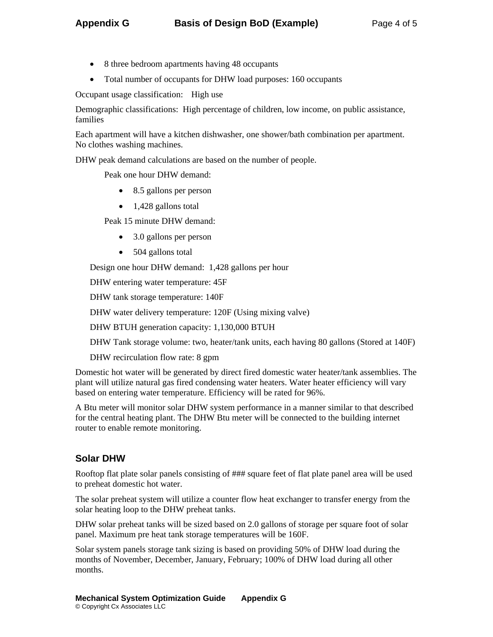- 8 three bedroom apartments having 48 occupants
- Total number of occupants for DHW load purposes: 160 occupants

Occupant usage classification: High use

Demographic classifications: High percentage of children, low income, on public assistance, families

Each apartment will have a kitchen dishwasher, one shower/bath combination per apartment. No clothes washing machines.

DHW peak demand calculations are based on the number of people.

Peak one hour DHW demand:

- 8.5 gallons per person
- 1,428 gallons total

Peak 15 minute DHW demand:

- 3.0 gallons per person
- 504 gallons total

Design one hour DHW demand: 1,428 gallons per hour

DHW entering water temperature: 45F

DHW tank storage temperature: 140F

DHW water delivery temperature: 120F (Using mixing valve)

DHW BTUH generation capacity: 1,130,000 BTUH

DHW Tank storage volume: two, heater/tank units, each having 80 gallons (Stored at 140F)

DHW recirculation flow rate: 8 gpm

Domestic hot water will be generated by direct fired domestic water heater/tank assemblies. The plant will utilize natural gas fired condensing water heaters. Water heater efficiency will vary based on entering water temperature. Efficiency will be rated for 96%.

A Btu meter will monitor solar DHW system performance in a manner similar to that described for the central heating plant. The DHW Btu meter will be connected to the building internet router to enable remote monitoring.

## **Solar DHW**

Rooftop flat plate solar panels consisting of ### square feet of flat plate panel area will be used to preheat domestic hot water.

The solar preheat system will utilize a counter flow heat exchanger to transfer energy from the solar heating loop to the DHW preheat tanks.

DHW solar preheat tanks will be sized based on 2.0 gallons of storage per square foot of solar panel. Maximum pre heat tank storage temperatures will be 160F.

Solar system panels storage tank sizing is based on providing 50% of DHW load during the months of November, December, January, February; 100% of DHW load during all other months.